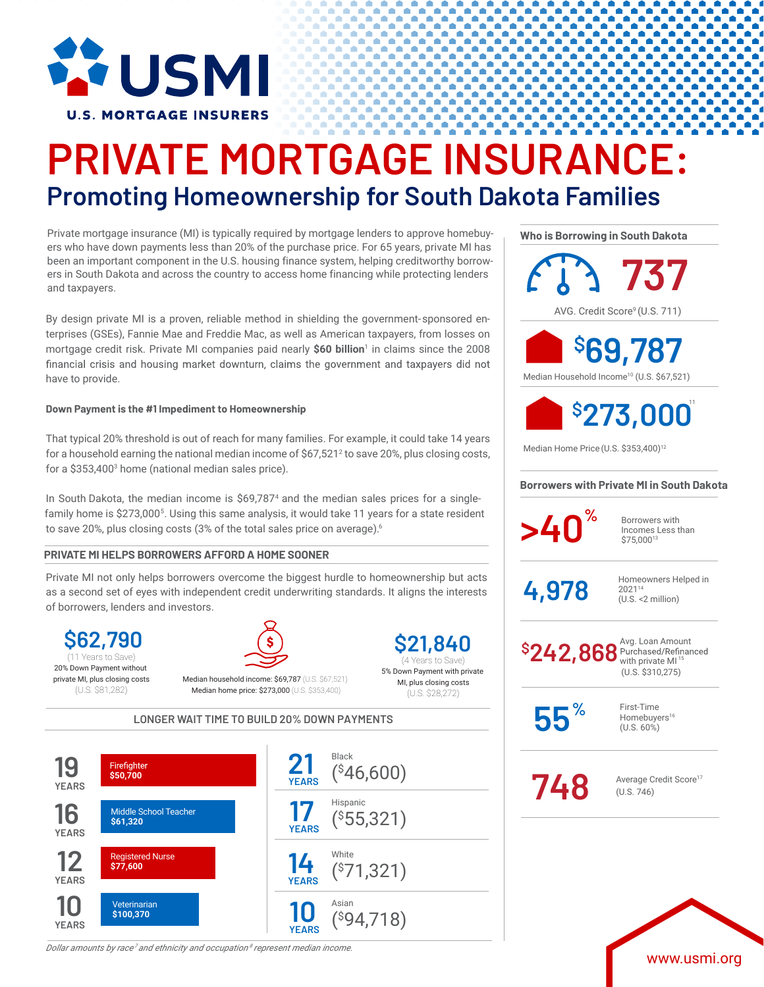

# **PRIVATE MORTGAGE INSURANCE: Promoting Homeownership for South Dakota Families**

Private mortgage insurance (MI) is typically required by mortgage lenders to approve homebuyers who have down payments less than 20% of the purchase price. For 65 years, private MI has been an important component in the U.S. housing finance system, helping creditworthy borrowers in South Dakota and across the country to access home financing while protecting lenders and taxpayers.

By design private MI is a proven, reliable method in shielding the government-sponsored enterprises (GSEs), Fannie Mae and Freddie Mac, as well as American taxpayers, from losses on mortgage credit risk. Private MI companies paid nearly **\$60 billion**<sup>1</sup> in claims since the 2008 financial crisis and housing market downturn, claims the government and taxpayers did not have to provide.

### **Down Payment is the #1 Impediment to Homeownership**

That typical 20% threshold is out of reach for many families. For example, it could take 14 years for a household earning the national median income of  $$67,521<sup>2</sup>$  to save 20%, plus closing costs, for a \$353,4003 home (national median sales price).

In South Dakota, the median income is \$69,787<sup>4</sup> and the median sales prices for a singlefamily home is \$273,000<sup>5</sup>. Using this same analysis, it would take 11 years for a state resident to save 20%, plus closing costs (3% of the total sales price on average).<sup>6</sup>

## **PRIVATE MI HELPS BORROWERS AFFORD A HOME SOONER**

Private MI not only helps borrowers overcome the biggest hurdle to homeownership but acts as a second set of eyes with independent credit underwriting standards. It aligns the interests of borrowers, lenders and investors.

**\$62,790** 20% Down Payment without private MI, plus closing costs (U.S. \$81,282)



Median household income: \$69,787 (U.S. \$67,521) Median home price: \$273,000 (U.S. \$353,400)

**\$21,840** 5% Down Payment with private MI, plus closing costs (11 Years to Save) **12 August 2018** (4 Years to Save)

(U.S. \$28,272) **LONGER WAIT TIME TO BUILD 20% DOWN PAYMENTS**



*Dollar amounts by race<sup>7</sup> and ethnicity and occupation <sup>8</sup> represent median income.*

**Who is Borrowing in South Dakota**

AVG. Credit Score<sup>9</sup> (U.S. 711) **737**

Median Household Income10 (U.S. \$67,521) **\$ 69,787**



Median Home Price (U.S. \$353,400)<sup>12</sup>

### **Borrowers with Private MI in South Dakota**

**>40**<sup>%</sup> Borrowers with

Incomes Less than \$75,00013

 $4.978$  Homeowners Helped in 202114 (U.S. <2 million)

Avg. Loan Amount<br>Purchased/Refinanced with private  $MI<sup>1</sup>$ (U.S. \$310,275) **\$ 242,868**

**55%**

First-Time Homebuyers<sup>16</sup> (U.S. 60%)

**748** Average Credit Score<sup>17</sup> (U.S. 746)